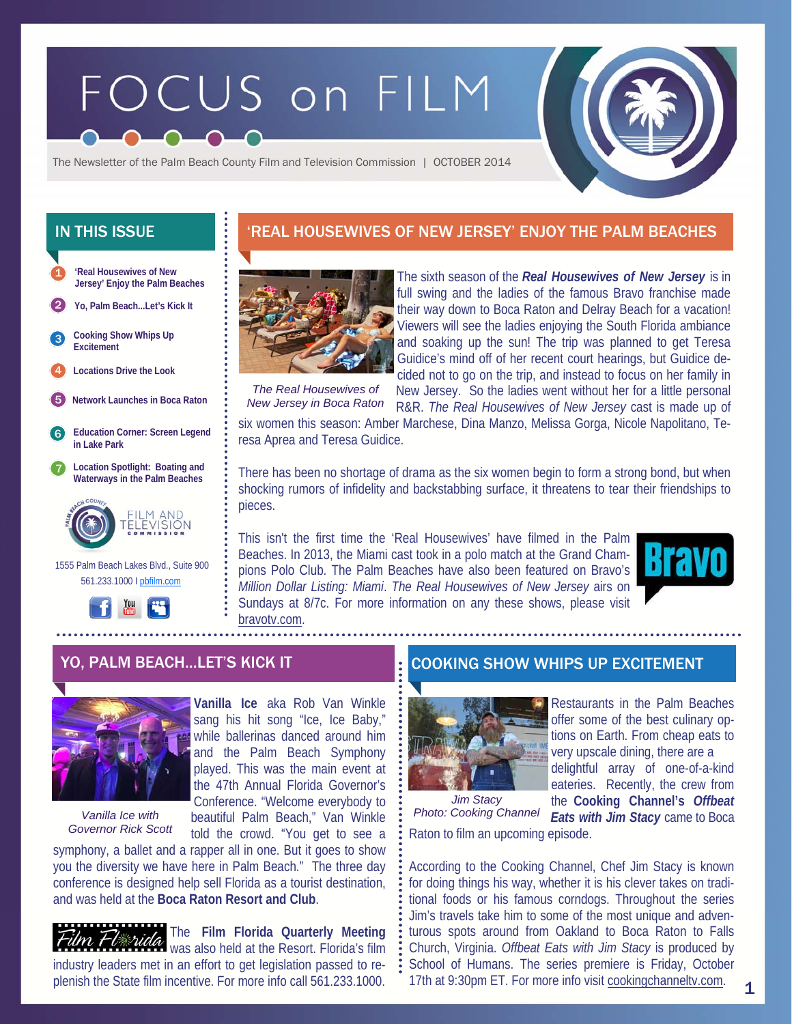# FOCUS on FILM



The Newsletter of the Palm Beach County Film and Television Commission | OCTOBER 2014

**'Real Housewives of New Jersey' Enjoy the Palm Beaches**  1

2 **Yo, Palm Beach...Let's Kick It** 

**Cooking Show Whips Up Excitement**  3

4 **Locations Drive the Look** 

- 5 **Network Launches in Boca Raton**
- 6 **Education Corner: Screen Legend in Lake Park**

7 **Location Spotlight: Boating and Waterways in the Palm Beaches** 



 1555 Palm Beach Lakes Blvd., Suite 900 561.233.1000 I pbfilm.com



## IN THIS ISSUE **The State of the State III in the State III** 'REAL HOUSEWIVES OF NEW JERSEY' ENJOY THE PALM BEACHES



The sixth season of the *Real Housewives of New Jersey* is in full swing and the ladies of the famous Bravo franchise made their way down to Boca Raton and Delray Beach for a vacation! Viewers will see the ladies enjoying the South Florida ambiance and soaking up the sun! The trip was planned to get Teresa Guidice's mind off of her recent court hearings, but Guidice decided not to go on the trip, and instead to focus on her family in

*The Real Housewives of New Jersey in Boca Raton* 

New Jersey. So the ladies went without her for a little personal R&R. *The Real Housewives of New Jersey* cast is made up of

six women this season: Amber Marchese, Dina Manzo, Melissa Gorga, Nicole Napolitano, Teresa Aprea and Teresa Guidice.

There has been no shortage of drama as the six women begin to form a strong bond, but when shocking rumors of infidelity and backstabbing surface, it threatens to tear their friendships to pieces.

This isn't the first time the 'Real Housewives' have filmed in the Palm Beaches. In 2013, the Miami cast took in a polo match at the Grand Champions Polo Club. The Palm Beaches have also been featured on Bravo's *Million Dollar Listing: Miami*. *The Real Housewives of New Jersey* airs on Sundays at 8/7c. For more information on any these shows, please visit bravotv.com.





*Vanilla Ice with Governor Rick Scott* 

told the crowd. "You get to see a symphony, a ballet and a rapper all in one. But it goes to show you the diversity we have here in Palm Beach." The three day conference is designed help sell Florida as a tourist destination, and was held at the **Boca Raton Resort and Club**.

beautiful Palm Beach," Van Winkle

The **Film Florida Quarterly Meeting**   $\overline{\mathcal{U}}$   $\overline{\mathcal{U}}$   $\overline{\mathcal{U}}$   $\overline{\mathcal{U}}$  was also held at the Resort. Florida's film industry leaders met in an effort to get legislation passed to replenish the State film incentive. For more info call 561.233.1000.

## YO, PALM BEACH...LET'S KICK IT THE REPORTING SHOW WHIPS UP EXCITEMENT



offer some of the best culinary opvery upscale dining, there are a

Raton to film an upcoming episode. *Jim Stacy Photo: Cooking Channel* 

Restaurants in the Palm Beaches tions on Earth. From cheap eats to delightful array of one-of-a-kind eateries. Recently, the crew from the **Cooking Channel's** *Offbeat Eats with Jim Stacy* came to Boca

1

According to the Cooking Channel, Chef Jim Stacy is known for doing things his way, whether it is his clever takes on traditional foods or his famous corndogs. Throughout the series Jim's travels take him to some of the most unique and adventurous spots around from Oakland to Boca Raton to Falls Church, Virginia. *Offbeat Eats with Jim Stacy* is produced by School of Humans. The series premiere is Friday, October 17th at 9:30pm ET. For more info visit cookingchanneltv.com.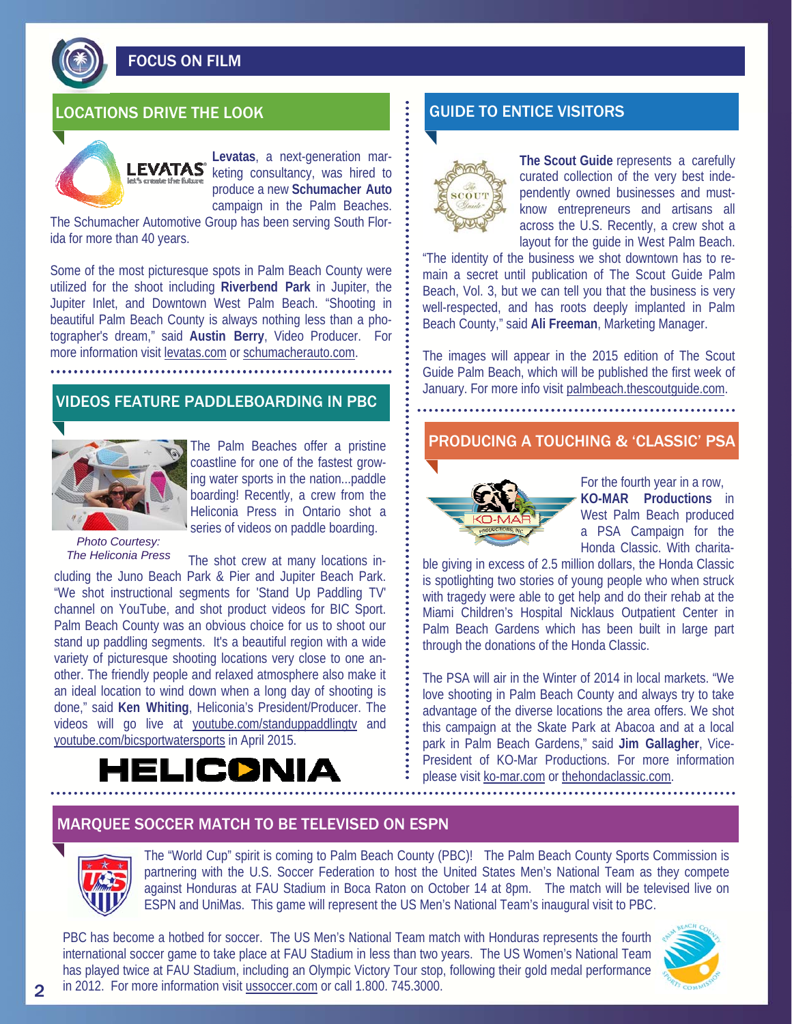FOCUS ON FILM

## LOCATIONS DRIVE THE LOOK GUIDE TO ENTICE VISITORS



**Levatas**, a next-generation marketing consultancy, was hired to produce a new **Schumacher Auto**  campaign in the Palm Beaches.

The Schumacher Automotive Group has been serving South Florida for more than 40 years.

Some of the most picturesque spots in Palm Beach County were utilized for the shoot including **Riverbend Park** in Jupiter, the Jupiter Inlet, and Downtown West Palm Beach. "Shooting in beautiful Palm Beach County is always nothing less than a photographer's dream," said **Austin Berry**, Video Producer. For more information visit levatas.com or schumacherauto.com.

#### VIDEOS FEATURE PADDLEBOARDING IN PBC



The Palm Beaches offer a pristine coastline for one of the fastest growing water sports in the nation...paddle boarding! Recently, a crew from the Heliconia Press in Ontario shot a series of videos on paddle boarding.

#### *Photo Courtesy: The Heliconia Press*

The shot crew at many locations including the Juno Beach Park & Pier and Jupiter Beach Park. "We shot instructional segments for 'Stand Up Paddling TV' channel on YouTube, and shot product videos for BIC Sport. Palm Beach County was an obvious choice for us to shoot our stand up paddling segments. It's a beautiful region with a wide variety of picturesque shooting locations very close to one another. The friendly people and relaxed atmosphere also make it an ideal location to wind down when a long day of shooting is done," said **Ken Whiting**, Heliconia's President/Producer. The videos will go live at youtube.com/standuppaddlingtv and youtube.com/bicsportwatersports in April 2015.

## LICDNIA



**The Scout Guide** represents a carefully curated collection of the very best independently owned businesses and mustknow entrepreneurs and artisans all across the U.S. Recently, a crew shot a layout for the guide in West Palm Beach.

"The identity of the business we shot downtown has to remain a secret until publication of The Scout Guide Palm Beach, Vol. 3, but we can tell you that the business is very well-respected, and has roots deeply implanted in Palm Beach County," said **Ali Freeman**, Marketing Manager.

The images will appear in the 2015 edition of The Scout Guide Palm Beach, which will be published the first week of January. For more info visit palmbeach.thescoutguide.com.

#### PRODUCING A TOUCHING & 'CLASSIC' PSA



For the fourth year in a row, **KO-MAR Productions** in West Palm Beach produced a PSA Campaign for the Honda Classic. With charita-

ble giving in excess of 2.5 million dollars, the Honda Classic is spotlighting two stories of young people who when struck with tragedy were able to get help and do their rehab at the Miami Children's Hospital Nicklaus Outpatient Center in Palm Beach Gardens which has been built in large part through the donations of the Honda Classic.

The PSA will air in the Winter of 2014 in local markets. "We love shooting in Palm Beach County and always try to take advantage of the diverse locations the area offers. We shot this campaign at the Skate Park at Abacoa and at a local park in Palm Beach Gardens," said **Jim Gallagher**, Vice-President of KO-Mar Productions. For more information please visit ko-mar.com or thehondaclassic.com.

#### MARQUEE SOCCER MATCH TO BE TELEVISED ON ESPN



The "World Cup" spirit is coming to Palm Beach County (PBC)! The Palm Beach County Sports Commission is partnering with the U.S. Soccer Federation to host the United States Men's National Team as they compete against Honduras at FAU Stadium in Boca Raton on October 14 at 8pm. The match will be televised live on ESPN and UniMas. This game will represent the US Men's National Team's inaugural visit to PBC.

PBC has become a hotbed for soccer. The US Men's National Team match with Honduras represents the fourth international soccer game to take place at FAU Stadium in less than two years. The US Women's National Team has played twice at FAU Stadium, including an Olympic Victory Tour stop, following their gold medal performance in 2012. For more information visit ussoccer.com or call 1.800. 745.3000.

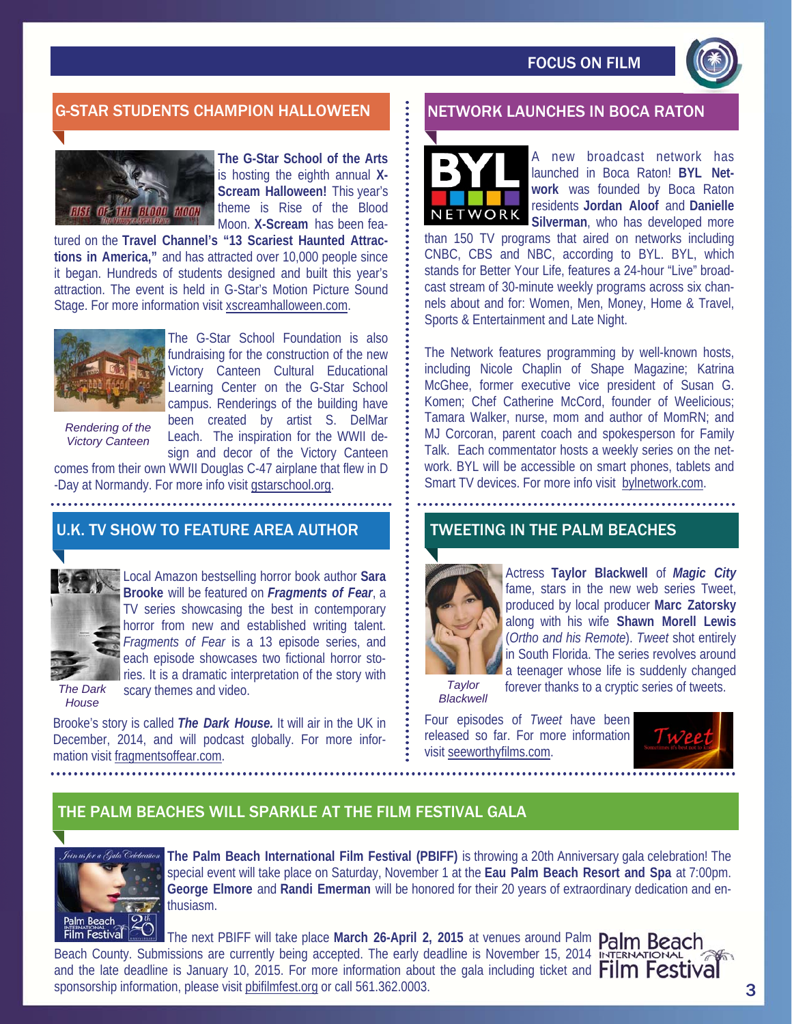

#### G-STAR STUDENTS CHAMPION HALLOWEEN **NET SEE IN BOTH ALLOWER IN BOCA RATON**



**The G-Star School of the Arts**  is hosting the eighth annual **X-Scream Halloween!** This year's theme is Rise of the Blood Moon. **X-Scream** has been fea-

tured on the **Travel Channel's "13 Scariest Haunted Attractions in America,"** and has attracted over 10,000 people since it began. Hundreds of students designed and built this year's attraction. The event is held in G-Star's Motion Picture Sound Stage. For more information visit xscreamhalloween.com.



The G-Star School Foundation is also fundraising for the construction of the new Victory Canteen Cultural Educational Learning Center on the G-Star School campus. Renderings of the building have been created by artist S. DelMar Leach. The inspiration for the WWII de-

*Rendering of the Victory Canteen* 

sign and decor of the Victory Canteen comes from their own WWII Douglas C-47 airplane that flew in D -Day at Normandy. For more info visit gstarschool.org.

#### U.K. TV SHOW TO FEATURE AREA AUTHOR



Local Amazon bestselling horror book author **Sara Brooke** will be featured on *Fragments of Fear*, a TV series showcasing the best in contemporary horror from new and established writing talent. *Fragments of Fear* is a 13 episode series, and each episode showcases two fictional horror stories. It is a dramatic interpretation of the story with scary themes and video.

*The Dark House* 

Brooke's story is called *The Dark House.* It will air in the UK in December, 2014, and will podcast globally. For more information visit fragmentsoffear.com.



A new broadcast network has launched in Boca Raton! **BYL Network** was founded by Boca Raton residents **Jordan Aloof** and **Danielle Silverman**, who has developed more

than 150 TV programs that aired on networks including CNBC, CBS and NBC, according to BYL. BYL, which stands for Better Your Life, features a 24-hour "Live" broadcast stream of 30-minute weekly programs across six channels about and for: Women, Men, Money, Home & Travel, Sports & Entertainment and Late Night.

The Network features programming by well-known hosts, including Nicole Chaplin of Shape Magazine; Katrina McGhee, former executive vice president of Susan G. Komen; Chef Catherine McCord, founder of Weelicious; Tamara Walker, nurse, mom and author of MomRN; and MJ Corcoran, parent coach and spokesperson for Family Talk. Each commentator hosts a weekly series on the network. BYL will be accessible on smart phones, tablets and Smart TV devices. For more info visit bylnetwork.com.

#### TWEETING IN THE PALM BEACHES



Actress **Taylor Blackwell** of *Magic City*  fame, stars in the new web series Tweet, produced by local producer **Marc Zatorsky**  along with his wife **Shawn Morell Lewis**  (*Ortho and his Remote*). *Tweet* shot entirely in South Florida. The series revolves around a teenager whose life is suddenly changed

*Taylor Blackwell*  forever thanks to a cryptic series of tweets.

Four episodes of *Tweet* have been released so far. For more information visit seeworthyfilms.com.



### THE PALM BEACHES WILL SPARKLE AT THE FILM FESTIVAL GALA



**The Palm Beach International Film Festival (PBIFF)** is throwing a 20th Anniversary gala celebration! The special event will take place on Saturday, November 1 at the **Eau Palm Beach Resort and Spa** at 7:00pm. **George Elmore** and **Randi Emerman** will be honored for their 20 years of extraordinary dedication and enthusiasm.

The next PBIFF will take place March 26-April 2, 2015 at venues around Palm Palm Beach Beach County. Submissions are currently being accepted. The early deadline is November 15, 2014 In and the late deadline is January 10, 2015. For more information about the gala including ticket and **Film Festival** sponsorship information, please visit pbifilmfest.org or call 561.362.0003.